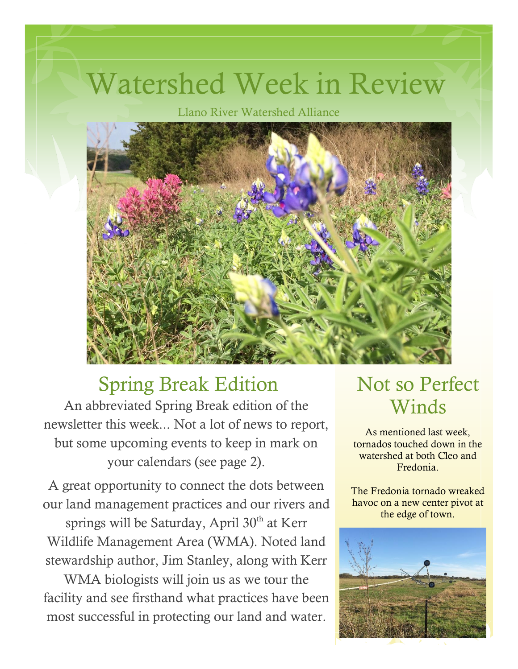# Watershed Week in Review

Llano River Watershed Alliance



#### Spring Break Edition Not so Perfect

An abbreviated Spring Break edition of the newsletter this week... Not a lot of news to report, but some upcoming events to keep in mark on your calendars (see page 2).

A great opportunity to connect the dots between our land management practices and our rivers and

springs will be Saturday, April 30<sup>th</sup> at Kerr Wildlife Management Area (WMA). Noted land stewardship author, Jim Stanley, along with Kerr

WMA biologists will join us as we tour the facility and see firsthand what practices have been most successful in protecting our land and water.

# Winds

As mentioned last week, tornados touched down in the watershed at both Cleo and Fredonia.

The Fredonia tornado wreaked havoc on a new center pivot at the edge of town.